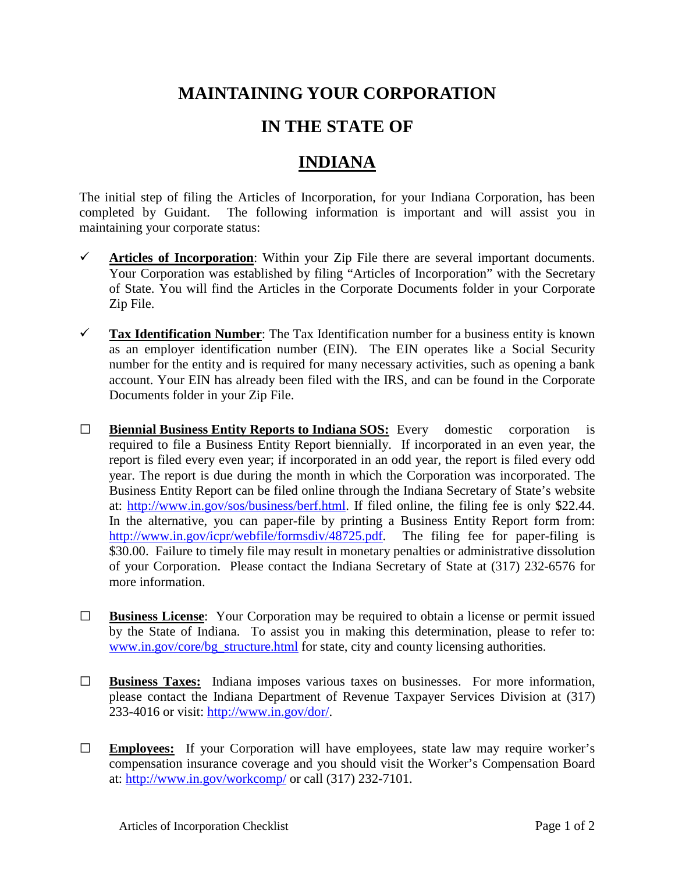## **MAINTAINING YOUR CORPORATION**

## **IN THE STATE OF**

## **INDIANA**

The initial step of filing the Articles of Incorporation, for your Indiana Corporation, has been completed by Guidant. The following information is important and will assist you in maintaining your corporate status:

- $\checkmark$  Articles of Incorporation: Within your Zip File there are several important documents. Your Corporation was established by filing "Articles of Incorporation" with the Secretary of State. You will find the Articles in the Corporate Documents folder in your Corporate Zip File.
- **Tax Identification Number**: The Tax Identification number for a business entity is known as an employer identification number (EIN). The EIN operates like a Social Security number for the entity and is required for many necessary activities, such as opening a bank account. Your EIN has already been filed with the IRS, and can be found in the Corporate Documents folder in your Zip File.
- **□ Biennial Business Entity Reports to Indiana SOS:** Every domestic corporation is required to file a Business Entity Report biennially. If incorporated in an even year, the report is filed every even year; if incorporated in an odd year, the report is filed every odd year. The report is due during the month in which the Corporation was incorporated. The Business Entity Report can be filed online through the Indiana Secretary of State's website at: [http://www.in.gov/sos/business/berf.html.](http://www.in.gov/sos/business/berf.html) If filed online, the filing fee is only \$22.44. In the alternative, you can paper-file by printing a Business Entity Report form from: [http://www.in.gov/icpr/webfile/formsdiv/48725.pdf.](http://www.in.gov/icpr/webfile/formsdiv/48725.pdf) The filing fee for paper-filing is \$30.00. Failure to timely file may result in monetary penalties or administrative dissolution of your Corporation. Please contact the Indiana Secretary of State at (317) 232-6576 for more information.
- **□ Business License**: Your Corporation may be required to obtain a license or permit issued by the State of Indiana. To assist you in making this determination, please to refer to: [www.in.gov/core/bg\\_structure.html](http://www.in.gov/core/bg_structure.html) for state, city and county licensing authorities.
- **□ Business Taxes:** Indiana imposes various taxes on businesses. For more information, please contact the Indiana Department of Revenue Taxpayer Services Division at (317) 233-4016 or visit: [http://www.in.gov/dor/.](http://www.in.gov/dor/)
- **□ Employees:** If your Corporation will have employees, state law may require worker's compensation insurance coverage and you should visit the Worker's Compensation Board at: <http://www.in.gov/workcomp/> or call (317) 232-7101.